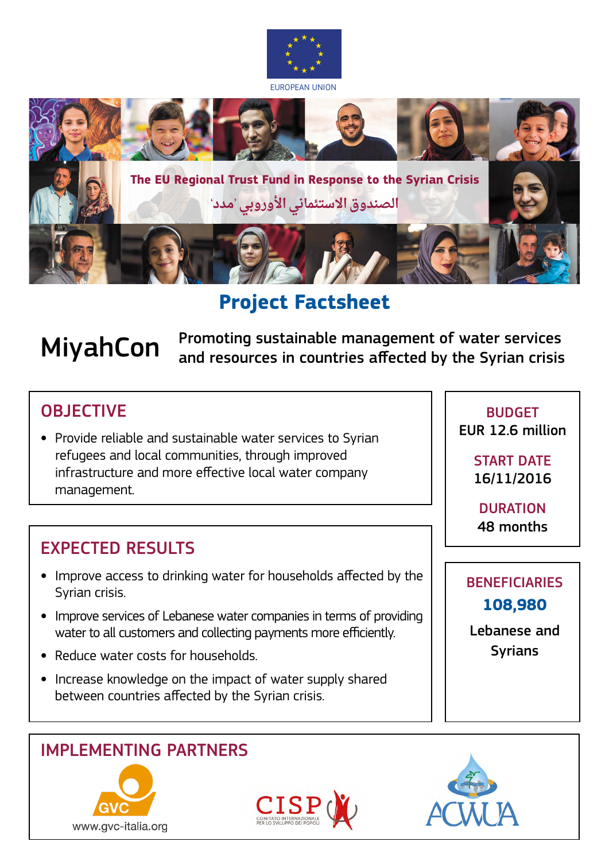



**Project Factsheet** 

**MiyahCon** Promoting sustainable management of water services<br>MiyahCon and resources in countries affected by the Syrian crisis

# **OBJECTIVE**

**•** Provide reliable and sustainable water services to Syrian refugees and local communities, through improved infrastructure and more effective local water company management.

# EXPECTED RESULTS

- **•** Improve access to drinking water for households affected by the Syrian crisis.
- **•** Improve services of Lebanese water companies in terms of providing water to all customers and collecting payments more efficiently.
- **•** Reduce water costs for households.
- **•** Increase knowledge on the impact of water supply shared between countries affected by the Syrian crisis.

## IMPLEMENTING PARTNERS





BUDGET EUR 12.6 million

> START DATE 16/11/2016

**DURATION** 48 months

**BENEFICIARIES 108,980** Lebanese and

Syrians